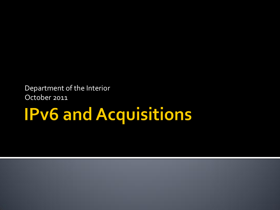Department of the Interior October 2011

# **IPv6 and Acquisitions**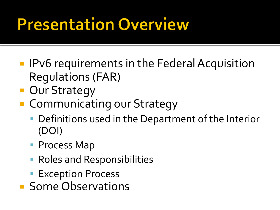#### **Presentation Overview**

- **IFV6** requirements in the Federal Acquisition Regulations (FAR)
- **Dur Strategy**
- **E** Communicating our Strategy
	- **Definitions used in the Department of the Interior** (DOI)
	- **Process Map**
	- **Roles and Responsibilities**
	- **Exception Process**
- **Some Observations**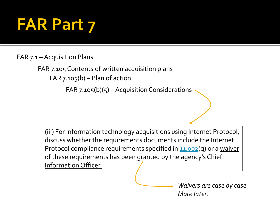#### **FAR Part 7**

#### FAR 7.1 –Acquisition Plans

FAR 7.105 Contents of written acquisition plans FAR  $7.105(b)$  – Plan of action

 $FAR$  7.105(b)(5) – Acquisition Considerations

(iii) For information technology acquisitions using Internet Protocol, discuss whether the requirements documents include the Internet Protocol compliance requirements specified in [11.002](https://www.acquisition.gov/far/current/html/Subpart 11_1.html)(g) or a waiver of these requirements has been granted by the agency's Chief Information Officer.

> *Waivers are case by case. More later.*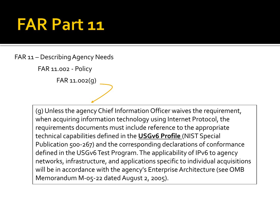#### **FAR Part 11**

FAR 11 – Describing Agency Needs

FAR 11.002 - Policy

FAR 11.002(g)

(g) Unless the agency Chief Information Officer waives the requirement, when acquiring information technology using Internet Protocol, the requirements documents must include reference to the appropriate technical capabilities defined in the **USGv6 Profile** (NIST Special Publication 500-267) and the corresponding declarations of conformance defined in the USGv6 Test Program. The applicability of IPv6 to agency networks, infrastructure, and applications specific to individual acquisitions will be in accordance with the agency's Enterprise Architecture (see OMB Memorandum M-05-22 dated August 2, 2005).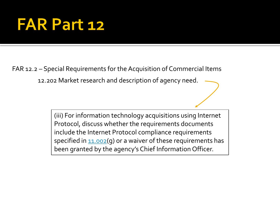#### **FAR Part 12**

FAR 12.2 – Special Requirements for the Acquisition of Commercial Items

12.202 Market research and description of agency need.

(iii) For information technology acquisitions using Internet Protocol, discuss whether the requirements documents include the Internet Protocol compliance requirements specified in  $1.002$ (g) or a waiver of these requirements has been granted by the agency's Chief Information Officer.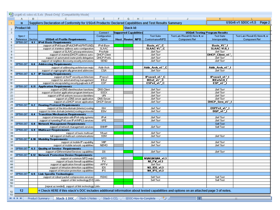|                                                                                                                       |             |         | usgv6-v1-sdoc-v1.5.xls [Read-Only] [Compatibility Mode]                                                                                |                                            |   |                 |   |                          |                                      |                     |                                  |
|-----------------------------------------------------------------------------------------------------------------------|-------------|---------|----------------------------------------------------------------------------------------------------------------------------------------|--------------------------------------------|---|-----------------|---|--------------------------|--------------------------------------|---------------------|----------------------------------|
|                                                                                                                       | A.          | в       | c.                                                                                                                                     | Ε                                          | F | G.              | H |                          | J                                    |                     |                                  |
|                                                                                                                       | 11          |         |                                                                                                                                        |                                            |   |                 |   |                          |                                      |                     | USGv6-v1 SDOC-v1.5<br>Page 2     |
|                                                                                                                       |             |         | Suppliers Declaration of Conformity for USGv6 Products: Declared Capabilities and Test Results Summary                                 |                                            |   |                 |   |                          |                                      |                     |                                  |
| $\mathbf{2}$                                                                                                          | Product Id: |         | Stack Id:                                                                                                                              |                                            |   |                 |   |                          |                                      |                     |                                  |
| 3                                                                                                                     |             |         |                                                                                                                                        | Context /<br><b>Supported Capabilities</b> |   |                 |   |                          | <b>USGv6 Testing Program Results</b> |                     |                                  |
|                                                                                                                       | Spec?       |         |                                                                                                                                        | Configuration                              |   |                 |   | <b>Test Suite</b>        | Test Lab / Result ID, Note #, or     | <b>Test Suite</b>   | Test Lab / Result ID, Note #, or |
|                                                                                                                       | Reference   | Section | <b>USGv6-v1 Profile Requirements</b>                                                                                                   | <b>Option</b>                              |   | Host Router NPD |   | Conformance/NPD          | Component Ref                        | Interoperability    | Component Ref                    |
| 5<br>6                                                                                                                | SP500-267   |         | <b>6.1   IPv6 Basic Requirements</b><br>support of IPv6 base (IPv6;ICMPv6;PMTU;ND)                                                     | IPv6-Base                                  |   |                 |   | Basic v1." C             |                                      | Basic V1." I        |                                  |
| 7                                                                                                                     |             |         | support of stateless address auto-configuration                                                                                        | <b>SLAAC</b>                               |   |                 |   | SLAAC-V1." C             |                                      | <b>SLAAC-V1.0 I</b> |                                  |
| 8                                                                                                                     |             |         | support of SLAAC privacy extensions.                                                                                                   | PrivAddr                                   |   |                 |   | Self Test                |                                      | Self Test           |                                  |
| 9                                                                                                                     |             |         | support of stateful (DHCP) address auto-                                                                                               | DHCP-Client                                |   |                 |   | Self Test                |                                      | DHCP Client v1."    |                                  |
| 10                                                                                                                    |             |         | support of automated router prefix delegation                                                                                          | <b>DHCP-Prefix</b>                         |   |                 |   | Self Test                |                                      | Self Test           |                                  |
| 11                                                                                                                    |             |         | support of neighbor discovery security extensions                                                                                      | <b>SEND</b>                                |   |                 |   | Self Test                |                                      | Self Test           |                                  |
| 12 <sub>12</sub>                                                                                                      | SP500-267   | 6.6     | <b>Addressing Requirements</b>                                                                                                         |                                            |   |                 |   |                          |                                      |                     |                                  |
| 13                                                                                                                    |             |         | support of addressing architecture regts                                                                                               | Addr-Arch                                  |   |                 |   | Addr Arch v1." C         |                                      | Addr Arch v1." I    |                                  |
| 14                                                                                                                    |             |         | support of cryptographically generated addresses                                                                                       | CGA                                        |   |                 |   | Self Test                |                                      | Self Test           |                                  |
| 15                                                                                                                    | SP500-267   | 6.7     | <b>IP Security Requirements</b>                                                                                                        |                                            |   |                 |   |                          |                                      |                     |                                  |
| 16                                                                                                                    |             |         | support of the IP security architecture                                                                                                | IPsecv3                                    |   |                 |   | IPsecv3 v1. C            |                                      | IPsecv3 v1. I       |                                  |
| 17                                                                                                                    |             |         | support for automated key management                                                                                                   | IKEv2                                      |   |                 |   | IKEv2 v1. C              |                                      | <b>IKEv2v1.0 I</b>  |                                  |
| 18                                                                                                                    |             |         | support for encapsulating security payloads in IP                                                                                      | ESP                                        |   |                 |   | ESPv3_v1."_C             |                                      | ESP v1." I          |                                  |
| 19                                                                                                                    | SP500-267   | 6.11    | <b>Application Requirements</b>                                                                                                        |                                            |   |                 |   |                          |                                      |                     |                                  |
| 20                                                                                                                    |             |         | support of DNS client/resolver functions                                                                                               | <b>DNS-Client</b>                          |   |                 |   | Self Test                |                                      | Self Test           |                                  |
| 21                                                                                                                    |             |         | support of Socket application program interfaces                                                                                       | SOCK                                       |   |                 |   | Self Test                |                                      | Self Test           |                                  |
| 22                                                                                                                    |             |         | support of IPv6 uniform resource identifiers                                                                                           | URI                                        |   |                 |   | Self Test                |                                      | Self Test           |                                  |
| 23                                                                                                                    |             |         | support of a DNS server application                                                                                                    | <b>DNS-Server</b>                          |   |                 |   | Self Test                |                                      | Self Test           |                                  |
| 24                                                                                                                    |             |         | support of a DHCP server application                                                                                                   | DHCP-Server                                |   |                 |   | Self Test                |                                      | DHCP_Serv_v1."      |                                  |
| 25                                                                                                                    | SP500-267   | 6.2     | <b>Routing Protocol Requirements</b>                                                                                                   | <b>IGW</b>                                 |   |                 |   |                          |                                      |                     |                                  |
| 26<br>27                                                                                                              |             |         | support of the intra-domain (interior) routing                                                                                         | <b>EGW</b>                                 |   |                 |   | Self Test                |                                      | OSPFv3 v1." I       |                                  |
| 28                                                                                                                    | SP500-267   | 6.4     | support for inter-domain (exterior) routing protocols<br><b>Transition Mechanism Requirements</b>                                      |                                            |   |                 |   | Self Test                |                                      | <b>BGP v1. I</b>    |                                  |
| 29                                                                                                                    |             |         | support of interoperation with IPv4-only systems                                                                                       | IPv4                                       |   |                 |   | Self Test                |                                      | Self Test           |                                  |
| 30                                                                                                                    |             |         | support of tunneling IPv6 over IPv4 MPLS services                                                                                      | 6PE                                        |   |                 |   | Self Test                |                                      | Self Test           |                                  |
| 31                                                                                                                    | SP500-267   | 6.8     | <b>Network Management Requirements</b>                                                                                                 |                                            |   |                 |   |                          |                                      | Self Test           |                                  |
| 32                                                                                                                    |             |         | support of network management services                                                                                                 | SNMP                                       |   |                 |   | Self Test                |                                      | Self Test           |                                  |
| 33                                                                                                                    | SP500-267   | 6.9     | <b>Multicast Requirements</b>                                                                                                          |                                            |   |                 |   |                          |                                      |                     |                                  |
| 34                                                                                                                    |             |         | support of basic multicast                                                                                                             | Moast                                      |   |                 |   | Self Test                |                                      |                     |                                  |
| 35                                                                                                                    |             |         | full support of multicast communications                                                                                               | SSM                                        |   |                 |   | Self Test                |                                      | Self Test           |                                  |
| 36                                                                                                                    | SP500-267   |         | <b>6.10   Mobility Requirements</b>                                                                                                    |                                            |   |                 |   |                          |                                      |                     |                                  |
| 37                                                                                                                    |             |         | support of mobile IP capability.                                                                                                       | MIP                                        |   |                 |   | Self Test                |                                      | Self Test           |                                  |
| 38                                                                                                                    |             |         | support of mobile network capabilities                                                                                                 | <b>NEMO</b>                                |   |                 |   | Self Test                |                                      | Self Test           |                                  |
| 39                                                                                                                    | SP500-267   | 6.3     | <b>Quality of Service Requirements</b>                                                                                                 |                                            |   |                 |   |                          |                                      |                     |                                  |
| 40                                                                                                                    |             |         | support of Differentiated Services capabilities                                                                                        | $\overline{DS}$                            |   |                 |   | Self Test                |                                      | Self Test           |                                  |
| 41                                                                                                                    | SP500-267   | 6.12    | <b>Network Protection Device Requirements</b>                                                                                          |                                            |   |                 |   |                          |                                      |                     |                                  |
| 42                                                                                                                    |             |         | support of common NPD regts                                                                                                            | <b>NPD</b>                                 |   |                 |   | N1 N2 N3 N4_v1.3         |                                      |                     |                                  |
| 43                                                                                                                    |             |         | support of basic firewall capabilities                                                                                                 | <b>FV</b><br><b>APFV</b>                   |   |                 |   | N1 FV v1.3               |                                      |                     |                                  |
| 44<br>45                                                                                                              |             |         | support of application firewall capabilities<br>support of intrusion detection capabilities                                            | <b>IDS</b>                                 |   |                 |   | Self Test<br>N3 IDS v1.3 |                                      |                     |                                  |
| 46                                                                                                                    |             |         | support of intrusion protection capabilities                                                                                           | IFS                                        |   |                 |   | N4 IPS v1.3              |                                      |                     |                                  |
| 47                                                                                                                    | SP500-267   | 6.5     | <b>Link Specific Technologies</b>                                                                                                      |                                            |   |                 |   |                          |                                      |                     |                                  |
| 48                                                                                                                    |             |         | support of robust packet compression services                                                                                          | <b>ROHC</b>                                |   |                 |   | Self Test                |                                      | Self Test           |                                  |
| 49                                                                                                                    |             |         | support of link technology [O:1] Link=                                                                                                 |                                            |   |                 |   | Self Test                |                                      | <b>Self Test</b>    |                                  |
| 50                                                                                                                    |             |         |                                                                                                                                        |                                            |   |                 |   |                          |                                      |                     |                                  |
| 51                                                                                                                    |             |         | (repeat as needed) support of link technology Link=                                                                                    |                                            |   |                 |   |                          |                                      |                     |                                  |
|                                                                                                                       | 12          |         | < Check HERE if this stack's DOC includes additional information about tested capabilities and options on an attached page 3 of notes. |                                            |   |                 |   |                          |                                      |                     |                                  |
| 52                                                                                                                    |             |         |                                                                                                                                        |                                            |   |                 |   |                          |                                      |                     |                                  |
| 53                                                                                                                    |             |         |                                                                                                                                        |                                            |   |                 |   |                          |                                      |                     |                                  |
| <b>Stack-1 DOC</b> Stack-1 Notes Stack-1 CCL<br>SDOC-How-to-Complete<br>$+ + +$<br>Product Summary<br>℃<br><b>III</b> |             |         |                                                                                                                                        |                                            |   |                 |   |                          |                                      |                     |                                  |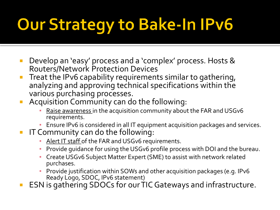# Our Strategy to Bake-In IPv6

- **Develop an 'easy' process and a 'complex' process. Hosts &** Routers/Network Protection Devices
- **Treat the IPv6 capability requirements similar to gathering,** analyzing and approving technical specifications within the various purchasing processes.
- **Acquisition Community can do the following:** 
	- Raise awareness in the acquisition community about the FAR and USGv6 requirements.
	- Ensure IPv6 is considered in all IT equipment acquisition packages and services.
- **IF Community can do the following:** 
	- Alert IT staff of the FAR and USGv6 requirements.
	- Provide guidance for using the USGv6 profile process with DOI and the bureau.
	- Create USGv6 Subject Matter Expert (SME) to assist with network related purchases.
	- Provide justification within SOWs and other acquisition packages (e.g. IPv6 Ready Logo, SDOC, IPv6 statement)
- ESN is gathering SDOCs for our TIC Gateways and infrastructure.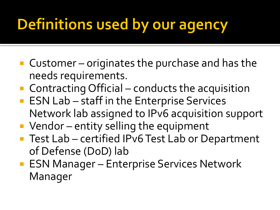#### **Definitions used by our agency**

- Customer originates the purchase and has the needs requirements.
- Contracting Official conducts the acquisition
- **ESN Lab staff in the Enterprise Services** Network lab assigned to IPv6 acquisition support
- **Vendor** entity selling the equipment
- Test Lab certified IPv6 Test Lab or Department of Defense (DoD) lab
- **ESN Manager Enterprise Services Network** Manager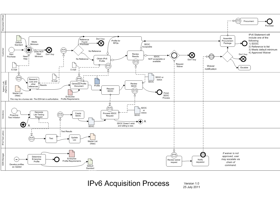

**IPv6 Acquisition Process** 

Version 1.0 25 July 2011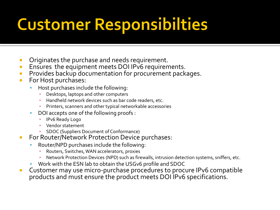### **Customer Responsibilties**

- **Originates the purchase and needs requirement.**
- **Ensures the equipment meets DOI IPv6 requirements.**
- **Provides backup documentation for procurement packages.**
- **For Host purchases:** 
	- Host purchases include the following:
		- **Desktops, laptops and other computers**
		- Handheld network devices such as bar code readers, etc.
		- Printers, scanners and other typical networkable accessories
	- DOI accepts one of the following proofs :
		- **·** IPv6 Ready Logo
		- Vendor statement
		- SDOC (Suppliers Document of Conformance)
- **For Router/Network Protection Device purchases:** 
	- Router/NPD purchases include the following:
		- Routers, Switches, WAN accelerators, proxies
		- Network Protection Devices (NPD) such as firewalls, intrusion detection systems, sniffers, etc.
	- Work with the ESN lab to obtain the USGv6 profile and SDOC
- **EXPLOSED EXTENCIPY CUSTOM CONTEX IN A CUSTOM EXT** Customer may use micro-purchase procedures to procure IPv6 compatible products and must ensure the product meets DOI IPv6 specifications.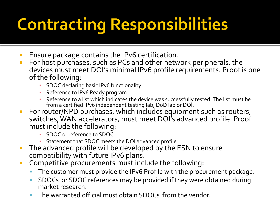# **Contracting Responsibilities**

- **E** Ensure package contains the IPv6 certification.
- **For host purchases, such as PCs and other network peripherals, the** devices must meet DOI's minimal IPv6 profile requirements. Proof is one of the following:
	- **SDOC declaring basic IPv6 functionality**
	- **Reference to IPv6 Ready program**
	- Reference to a list which indicates the device was successfully tested. The list must be from a certified IPv6 independent testing lab, DoD lab or DOI.
- **For router/NPD purchases, which includes equipment such as routers,** switches, WAN accelerators, must meet DOI's advanced profile. Proof must include the following:
	- SDOC or reference to SDOC
	- Statement that SDOC meets the DOI advanced profile
- **The advanced profile will be developed by the ESN to ensure** compatibility with future IPv6 plans.
- **Competitive procurements must include the following:** 
	- The customer must provide the IPv6 Profile with the procurement package.
	- SDOCs or SDOC references may be provided if they were obtained during market research.
	- The warranted official must obtain SDOCs from the vendor.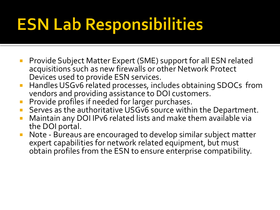# **ESN Lab Responsibilities**

- **Provide Subject Matter Expert (SME) support for all ESN related** acquisitions such as new firewalls or other Network Protect Devices used to provide ESN services.
- Handles USGv6 related processes, includes obtaining SDOCs from vendors and providing assistance to DOI customers.
- **Provide profiles if needed for larger purchases.**
- Serves as the authoritative USGv6 source within the Department.
- Maintain any DOI IPv6 related lists and make them available via the DOI portal.
- Note Bureaus are encouraged to develop similar subject matter expert capabilities for network related equipment, but must obtain profiles from the ESN to ensure enterprise compatibility.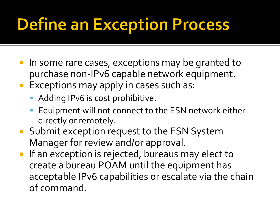# **Define an Exception Process**

- In some rare cases, exceptions may be granted to purchase non-IPv6 capable network equipment.
- **Exceptions may apply in cases such as:** 
	- **Adding IPv6 is cost prohibitive.**
	- **Equipment will not connect to the ESN network either** directly or remotely.
- Submit exception request to the ESN System Manager for review and/or approval.
- **If an exception is rejected, bureaus may elect to** create a bureau POAM until the equipment has acceptable IPv6 capabilities or escalate via the chain of command.